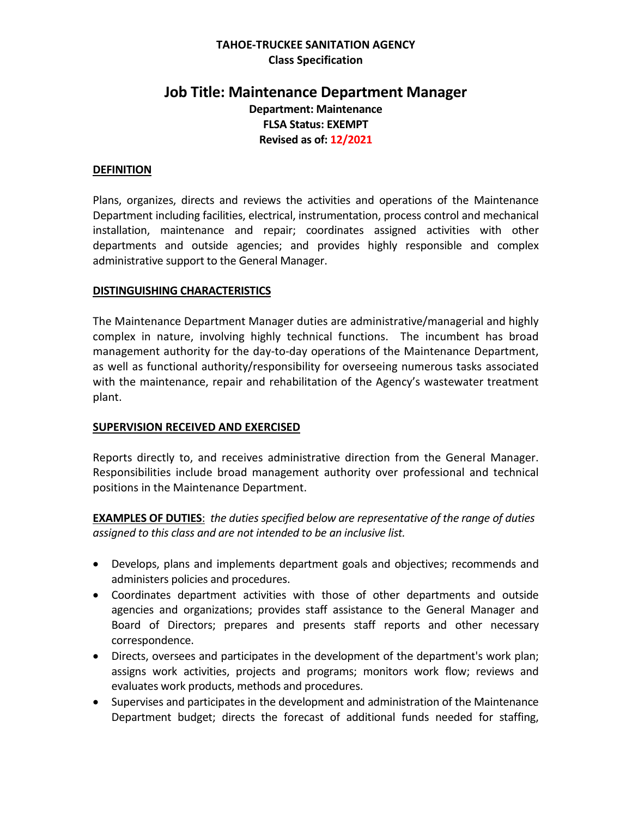### **TAHOE-TRUCKEE SANITATION AGENCY Class Specification**

# **Job Title: Maintenance Department Manager Department: Maintenance FLSA Status: EXEMPT Revised as of: 12/2021**

#### **DEFINITION**

Plans, organizes, directs and reviews the activities and operations of the Maintenance Department including facilities, electrical, instrumentation, process control and mechanical installation, maintenance and repair; coordinates assigned activities with other departments and outside agencies; and provides highly responsible and complex administrative support to the General Manager.

#### **DISTINGUISHING CHARACTERISTICS**

The Maintenance Department Manager duties are administrative/managerial and highly complex in nature, involving highly technical functions. The incumbent has broad management authority for the day-to-day operations of the Maintenance Department, as well as functional authority/responsibility for overseeing numerous tasks associated with the maintenance, repair and rehabilitation of the Agency's wastewater treatment plant.

#### **SUPERVISION RECEIVED AND EXERCISED**

Reports directly to, and receives administrative direction from the General Manager. Responsibilities include broad management authority over professional and technical positions in the Maintenance Department.

**EXAMPLES OF DUTIES**: *the duties specified below are representative of the range of duties assigned to this class and are not intended to be an inclusive list.* 

- Develops, plans and implements department goals and objectives; recommends and administers policies and procedures.
- Coordinates department activities with those of other departments and outside agencies and organizations; provides staff assistance to the General Manager and Board of Directors; prepares and presents staff reports and other necessary correspondence.
- Directs, oversees and participates in the development of the department's work plan; assigns work activities, projects and programs; monitors work flow; reviews and evaluates work products, methods and procedures.
- Supervises and participates in the development and administration of the Maintenance Department budget; directs the forecast of additional funds needed for staffing,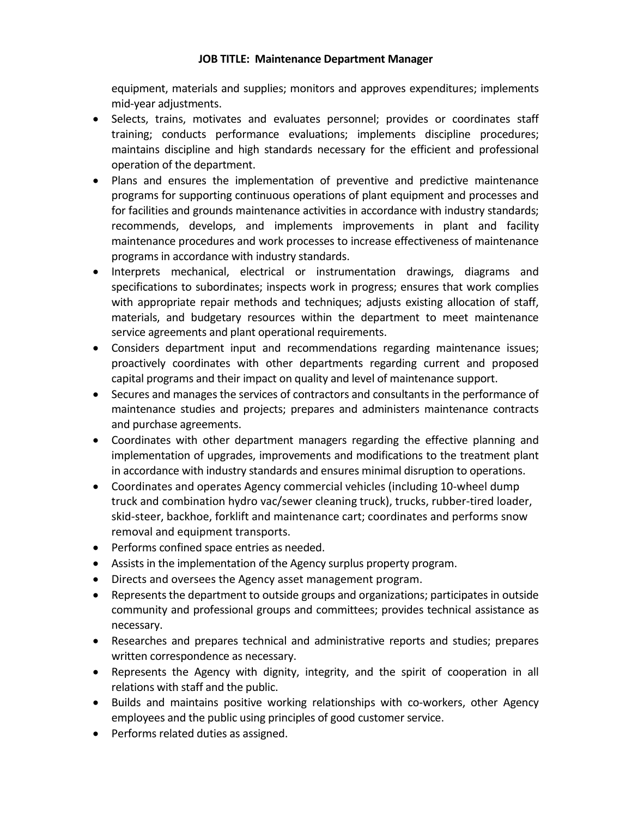### **JOB TITLE: Maintenance Department Manager**

equipment, materials and supplies; monitors and approves expenditures; implements mid-year adjustments.

- Selects, trains, motivates and evaluates personnel; provides or coordinates staff training; conducts performance evaluations; implements discipline procedures; maintains discipline and high standards necessary for the efficient and professional operation of the department.
- Plans and ensures the implementation of preventive and predictive maintenance programs for supporting continuous operations of plant equipment and processes and for facilities and grounds maintenance activities in accordance with industry standards; recommends, develops, and implements improvements in plant and facility maintenance procedures and work processes to increase effectiveness of maintenance programs in accordance with industry standards.
- Interprets mechanical, electrical or instrumentation drawings, diagrams and specifications to subordinates; inspects work in progress; ensures that work complies with appropriate repair methods and techniques; adjusts existing allocation of staff, materials, and budgetary resources within the department to meet maintenance service agreements and plant operational requirements.
- Considers department input and recommendations regarding maintenance issues; proactively coordinates with other departments regarding current and proposed capital programs and their impact on quality and level of maintenance support.
- Secures and manages the services of contractors and consultants in the performance of maintenance studies and projects; prepares and administers maintenance contracts and purchase agreements.
- Coordinates with other department managers regarding the effective planning and implementation of upgrades, improvements and modifications to the treatment plant in accordance with industry standards and ensures minimal disruption to operations.
- Coordinates and operates Agency commercial vehicles (including 10-wheel dump truck and combination hydro vac/sewer cleaning truck), trucks, rubber-tired loader, skid-steer, backhoe, forklift and maintenance cart; coordinates and performs snow removal and equipment transports.
- Performs confined space entries as needed.
- Assists in the implementation of the Agency surplus property program.
- Directs and oversees the Agency asset management program.
- Represents the department to outside groups and organizations; participates in outside community and professional groups and committees; provides technical assistance as necessary.
- Researches and prepares technical and administrative reports and studies; prepares written correspondence as necessary.
- Represents the Agency with dignity, integrity, and the spirit of cooperation in all relations with staff and the public.
- Builds and maintains positive working relationships with co-workers, other Agency employees and the public using principles of good customer service.
- Performs related duties as assigned.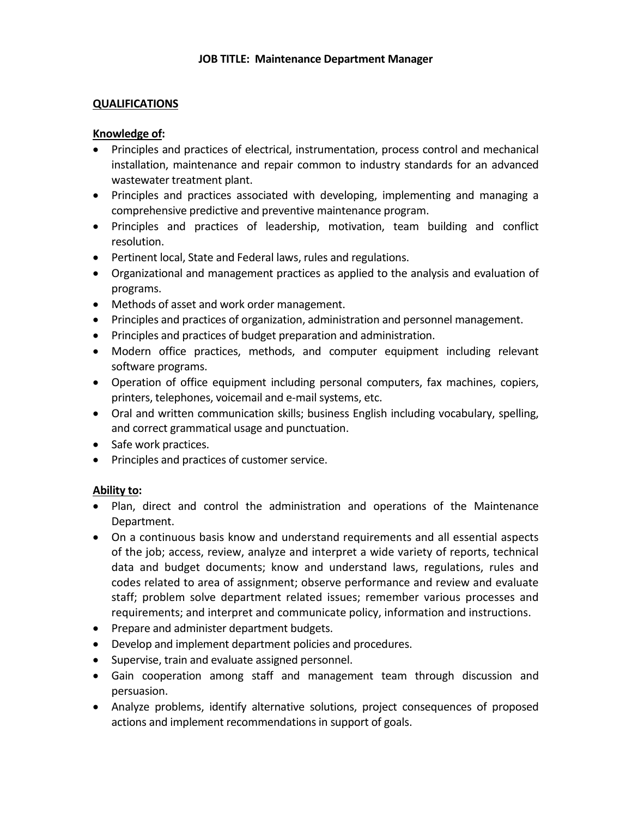#### **QUALIFICATIONS**

#### **Knowledge of:**

- Principles and practices of electrical, instrumentation, process control and mechanical installation, maintenance and repair common to industry standards for an advanced wastewater treatment plant.
- Principles and practices associated with developing, implementing and managing a comprehensive predictive and preventive maintenance program.
- Principles and practices of leadership, motivation, team building and conflict resolution.
- Pertinent local, State and Federal laws, rules and regulations.
- Organizational and management practices as applied to the analysis and evaluation of programs.
- Methods of asset and work order management.
- Principles and practices of organization, administration and personnel management.
- Principles and practices of budget preparation and administration.
- Modern office practices, methods, and computer equipment including relevant software programs.
- Operation of office equipment including personal computers, fax machines, copiers, printers, telephones, voicemail and e-mail systems, etc.
- Oral and written communication skills; business English including vocabulary, spelling, and correct grammatical usage and punctuation.
- Safe work practices.
- Principles and practices of customer service.

### **Ability to:**

- Plan, direct and control the administration and operations of the Maintenance Department.
- On a continuous basis know and understand requirements and all essential aspects of the job; access, review, analyze and interpret a wide variety of reports, technical data and budget documents; know and understand laws, regulations, rules and codes related to area of assignment; observe performance and review and evaluate staff; problem solve department related issues; remember various processes and requirements; and interpret and communicate policy, information and instructions.
- Prepare and administer department budgets.
- Develop and implement department policies and procedures.
- Supervise, train and evaluate assigned personnel.
- Gain cooperation among staff and management team through discussion and persuasion.
- Analyze problems, identify alternative solutions, project consequences of proposed actions and implement recommendations in support of goals.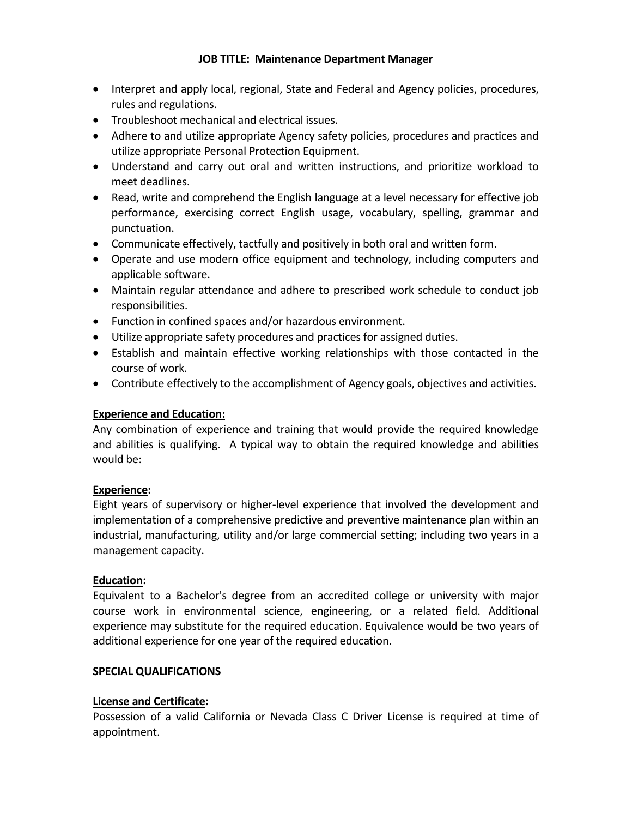### **JOB TITLE: Maintenance Department Manager**

- Interpret and apply local, regional, State and Federal and Agency policies, procedures, rules and regulations.
- Troubleshoot mechanical and electrical issues.
- Adhere to and utilize appropriate Agency safety policies, procedures and practices and utilize appropriate Personal Protection Equipment.
- Understand and carry out oral and written instructions, and prioritize workload to meet deadlines.
- Read, write and comprehend the English language at a level necessary for effective job performance, exercising correct English usage, vocabulary, spelling, grammar and punctuation.
- Communicate effectively, tactfully and positively in both oral and written form.
- Operate and use modern office equipment and technology, including computers and applicable software.
- Maintain regular attendance and adhere to prescribed work schedule to conduct job responsibilities.
- Function in confined spaces and/or hazardous environment.
- Utilize appropriate safety procedures and practices for assigned duties.
- Establish and maintain effective working relationships with those contacted in the course of work.
- Contribute effectively to the accomplishment of Agency goals, objectives and activities.

# **Experience and Education:**

Any combination of experience and training that would provide the required knowledge and abilities is qualifying. A typical way to obtain the required knowledge and abilities would be:

# **Experience:**

Eight years of supervisory or higher-level experience that involved the development and implementation of a comprehensive predictive and preventive maintenance plan within an industrial, manufacturing, utility and/or large commercial setting; including two years in a management capacity.

### **Education:**

Equivalent to a Bachelor's degree from an accredited college or university with major course work in environmental science, engineering, or a related field. Additional experience may substitute for the required education. Equivalence would be two years of additional experience for one year of the required education.

### **SPECIAL QUALIFICATIONS**

# **License and Certificate:**

Possession of a valid California or Nevada Class C Driver License is required at time of appointment.